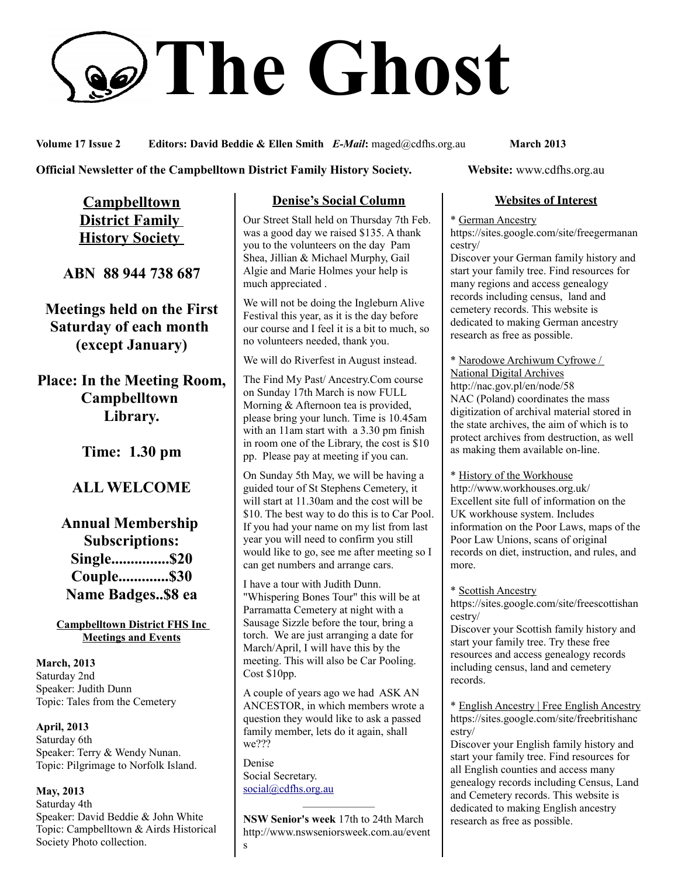# **The Ghost**

**Volume 17 Issue 2 Editors: David Beddie & Ellen Smith** *E-Mail***:** maged@cdfhs.org.au **March 2013**

**Official Newsletter of the Campbelltown District Family History Society. Website: www.cdfhs.org.au** 

**Campbelltown District Family History Society** 

**ABN 88 944 738 687**

**Meetings held on the First Saturday of each month (except January)**

**Place: In the Meeting Room, Campbelltown Library.**

**Time: 1.30 pm**

# **ALL WELCOME**

**Annual Membership Subscriptions: Single...............\$20 Couple.............\$30 Name Badges..\$8 ea**

**Campbelltown District FHS Inc Meetings and Events**

**March, 2013** Saturday 2nd Speaker: Judith Dunn Topic: Tales from the Cemetery

**April, 2013** Saturday 6th Speaker: Terry & Wendy Nunan. Topic: Pilgrimage to Norfolk Island.

**May, 2013** Saturday 4th Speaker: David Beddie & John White Topic: Campbelltown & Airds Historical Society Photo collection.

## **Denise's Social Column**

Our Street Stall held on Thursday 7th Feb. was a good day we raised \$135. A thank you to the volunteers on the day Pam Shea, Jillian & Michael Murphy, Gail Algie and Marie Holmes your help is much appreciated .

We will not be doing the Ingleburn Alive Festival this year, as it is the day before our course and I feel it is a bit to much, so no volunteers needed, thank you.

We will do Riverfest in August instead.

The Find My Past/ Ancestry.Com course on Sunday 17th March is now FULL Morning & Afternoon tea is provided, please bring your lunch. Time is 10.45am with an 11am start with a 3.30 pm finish in room one of the Library, the cost is \$10 pp. Please pay at meeting if you can.

On Sunday 5th May, we will be having a guided tour of St Stephens Cemetery, it will start at 11.30am and the cost will be \$10. The best way to do this is to Car Pool. If you had your name on my list from last year you will need to confirm you still would like to go, see me after meeting so I can get numbers and arrange cars.

I have a tour with Judith Dunn. "Whispering Bones Tour" this will be at Parramatta Cemetery at night with a Sausage Sizzle before the tour, bring a torch. We are just arranging a date for March/April, I will have this by the meeting. This will also be Car Pooling. Cost \$10pp.

A couple of years ago we had ASK AN ANCESTOR, in which members wrote a question they would like to ask a passed family member, lets do it again, shall we???

Denise Social Secretary. [social@cdfhs.org.au](mailto:social@cdfhs.org.au)

**NSW Senior's week** 17th to 24th March http://www.nswseniorsweek.com.au/event s

——————–

### **Websites of Interest**

\* German Ancestry

https://sites.google.com/site/freegermanan cestry/

Discover your German family history and start your family tree. Find resources for many regions and access genealogy records including census, land and cemetery records. This website is dedicated to making German ancestry research as free as possible.

\* Narodowe Archiwum Cyfrowe / National Digital Archives http://nac.gov.pl/en/node/58 NAC (Poland) coordinates the mass digitization of archival material stored in the state archives, the aim of which is to protect archives from destruction, as well as making them available on-line.

\* History of the Workhouse http://www.workhouses.org.uk/ Excellent site full of information on the UK workhouse system. Includes information on the Poor Laws, maps of the Poor Law Unions, scans of original records on diet, instruction, and rules, and more.

\* Scottish Ancestry https://sites.google.com/site/freescottishan

cestry/ Discover your Scottish family history and

start your family tree. Try these free resources and access genealogy records including census, land and cemetery records.

\* English Ancestry | Free English Ancestry https://sites.google.com/site/freebritishanc estry/

Discover your English family history and start your family tree. Find resources for all English counties and access many genealogy records including Census, Land and Cemetery records. This website is dedicated to making English ancestry research as free as possible.